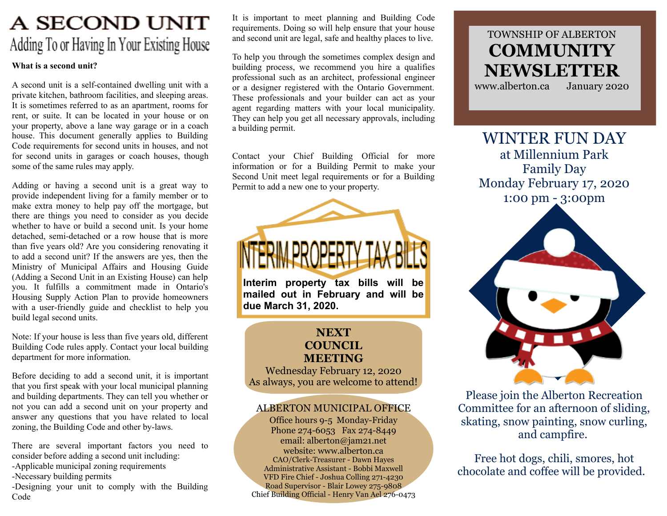# A SECOND UNIT Adding To or Having In Your Existing House

#### What is a second unit?

A second unit is a self-contained dwelling unit with a private kitchen, bathroom facilities, and sleeping areas. It is sometimes referred to as an apartment, rooms for rent, or suite. It can be located in your house or on your property, above a lane way garage or in a coach house. This document generally applies to Building Code requirements for second units in houses, and not for second units in garages or coach houses, though some of the same rules may apply.

Adding or having a second unit is a great way to provide independent living for a family member or to make extra money to help pay off the mortgage, but there are things you need to consider as you decide whether to have or build a second unit. Is your home detached, semi-detached or a row house that is more than five years old? Are you considering renovating it to add a second unit? If the answers are yes, then the Ministry of Municipal Affairs and Housing Guide (Adding a Second Unit in an Existing House) can help you. It fulfills a commitment made in Ontario's Housing Supply Action Plan to provide homeowners with a user-friendly guide and checklist to help you build legal second units.

Note: If your house is less than five years old, different Building Code rules apply. Contact your local building department for more information.

Before deciding to add a second unit, it is important that you first speak with your local municipal planning and building departments. They can tell you whether or not you can add a second unit on your property and answer any questions that you have related to local zoning, the Building Code and other by-laws.

There are several important factors you need to consider before adding a second unit including: -Applicable municipal zoning requirements -Necessary building permits

-Designing your unit to comply with the Building Code

It is important to meet planning and Building Code requirements. Doing so will help ensure that your house and second unit are legal, safe and healthy places to live.

To help you through the sometimes complex design and building process, we recommend you hire a qualifies professional such as an architect, professional engineer or a designer registered with the Ontario Government. These professionals and your builder can act as your agent regarding matters with your local municipality. They can help you get all necessary approvals, including a building permit.

Contact your Chief Building Official for more information or for a Building Permit to make your Second Unit meet legal requirements or for a Building Permit to add a new one to your property.

Interim property tax bills will be mailed out in February and will be due March 31, 2020.

#### **NEXT** COUNCIL MEETING

Wednesday February 12, 2020 As always, you are welcome to attend!

### ALBERTON MUNICIPAL OFFICE

Office hours 9-5 Monday-Friday Phone 274-6053 Fax 274-8449 email: alberton@jam21.net website: www.alberton.ca CAO/Clerk-Treasurer - Dawn Hayes Administrative Assistant - Bobbi Maxwell VFD Fire Chief - Joshua Colling 271-4230 Road Supervisor - Blair Lowey 275-9808 Chief Building Official - Henry Van Ael 276-0473

## TOWNSHIP OF ALBERTON **COMMUNITY** NEWSLETTER

www.alberton.ca January 2020

WINTER FUN DAY at Millennium Park Family Day Monday February 17, 2020 1:00 pm - 3:00pm



Please join the Alberton Recreation Committee for an afternoon of sliding, skating, snow painting, snow curling, and campfire.

Free hot dogs, chili, smores, hot chocolate and coffee will be provided.